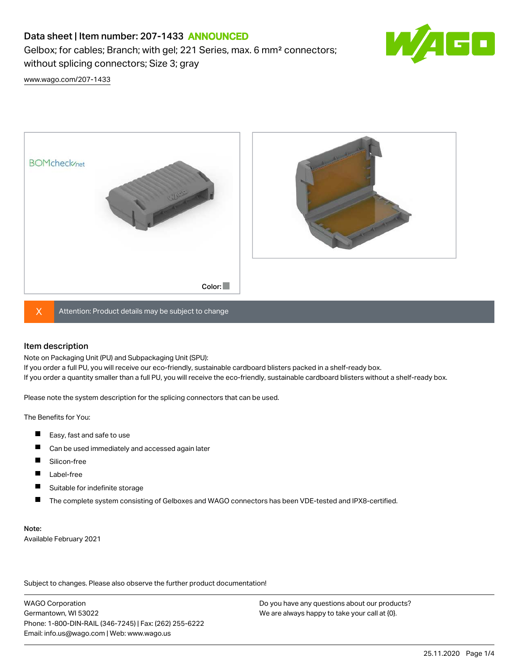# Data sheet | Item number: 207-1433 ANNOUNCED

Gelbox; for cables; Branch; with gel; 221 Series, max. 6 mm² connectors; without splicing connectors; Size 3; gray



[www.wago.com/207-1433](http://www.wago.com/207-1433)





 $X$  Attention: Product details may be subject to change

#### Item description

Note on Packaging Unit (PU) and Subpackaging Unit (SPU):

If you order a full PU, you will receive our eco-friendly, sustainable cardboard blisters packed in a shelf-ready box. If you order a quantity smaller than a full PU, you will receive the eco-friendly, sustainable cardboard blisters without a shelf-ready box.

Please note the system description for the splicing connectors that can be used.

The Benefits for You:

- $\blacksquare$ Easy, fast and safe to use
- $\blacksquare$ Can be used immediately and accessed again later
- $\blacksquare$ Silicon-free
- $\blacksquare$ Label-free
- П Suitable for indefinite storage
- $\blacksquare$ The complete system consisting of Gelboxes and WAGO connectors has been VDE-tested and IPX8-certified.

#### Note:

Available February 2021

Subject to changes. Please also observe the further product documentation! Data

WAGO Corporation Germantown, WI 53022 Phone: 1-800-DIN-RAIL (346-7245) | Fax: (262) 255-6222 Email: info.us@wago.com | Web: www.wago.us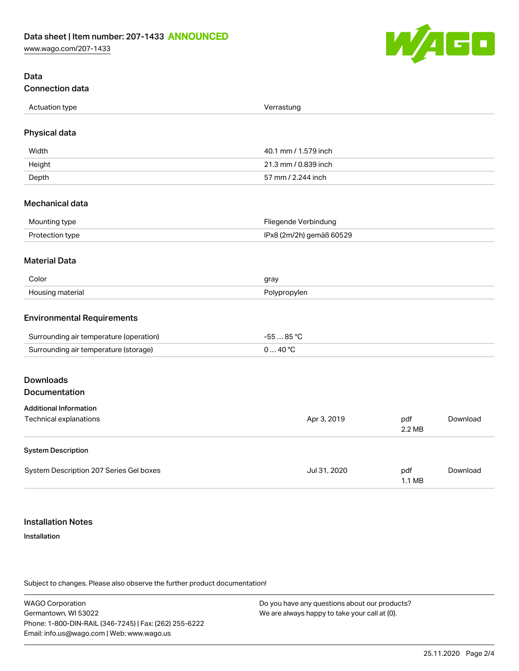[www.wago.com/207-1433](http://www.wago.com/207-1433)



## Data Connection data

| Actuation type | Verrastung               |
|----------------|--------------------------|
| $ -$           | . 5. . 5. 5. . 5. . 5. . |
|                |                          |

## Physical data

| Width  | 40.1 mm / 1.579 inch |
|--------|----------------------|
| Height | 21.3 mm / 0.839 inch |
| Depth  | 57 mm / 2.244 inch   |

#### Mechanical data

| Mounting type   | Fliegende Verbindung     |
|-----------------|--------------------------|
| Protection type | IPx8 (2m/2h) gemäß 60529 |

#### Material Data

| Color                 | nray         |
|-----------------------|--------------|
| Housing r<br>materiai | Polypropylen |

#### Environmental Requirements

| Surrounding air temperature (operation) | $.85^{\circ}$ |
|-----------------------------------------|---------------|
| Surrounding air temperature (storage)   | ⊿റ ∘ $\cap$   |

# Downloads

## Documentation

| <b>Additional Information</b>           |              |                         |          |
|-----------------------------------------|--------------|-------------------------|----------|
| Technical explanations                  | Apr 3, 2019  | pdf<br>2.2 MB           | Download |
| <b>System Description</b>               |              |                         |          |
| System Description 207 Series Gel boxes | Jul 31, 2020 | pdf<br>$1.1 \text{ MB}$ | Download |

## Installation Notes

#### Installation

Subject to changes. Please also observe the further product documentation!

WAGO Corporation Germantown, WI 53022 Phone: 1-800-DIN-RAIL (346-7245) | Fax: (262) 255-6222 Email: info.us@wago.com | Web: www.wago.us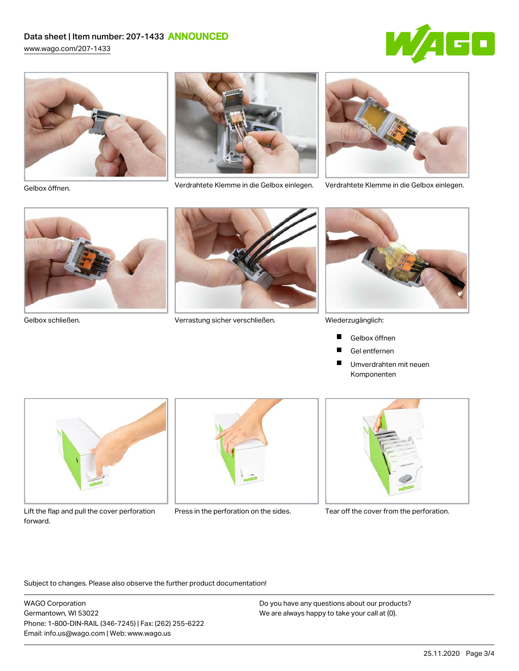# Data sheet | Item number: 207-1433 ANNOUNCED

[www.wago.com/207-1433](http://www.wago.com/207-1433)







Verdrahtete Klemme in die Gelbox einlegen. Verdrahtete Klemme in die Gelbox einlegen. Gelbox öffnen.







Gelbox schließen. Verrastung sicher verschließen.



Wiederzugänglich:

- Gelbox öffnen П
- Gel entfernen **The Second Service**
- $\blacksquare$ Umverdrahten mit neuen Komponenten



Lift the flap and pull the cover perforation Press in the perforation on the sides. Tear off the cover from the perforation. forward.





Subject to changes. Please also observe the further product documentation!

WAGO Corporation Germantown, WI 53022 Phone: 1-800-DIN-RAIL (346-7245) | Fax: (262) 255-6222 Email: info.us@wago.com | Web: www.wago.us